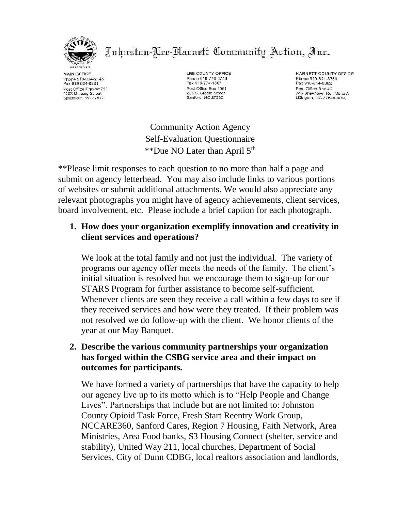

Johnston-Cee-Narnett Community Action, Inc.

MAIN OFFICE Phone 919-934-2145 Fax 919-934-6231 Post Office Drawer 711 1:02 Massey Street<br>Smithfield, NC 27577

LEE COUNTY OFFICE Phone 919-776-0746 Fax 919-774-1867 Post Office Box 1061 225 S. Steele Street Sanford, NC 27330

**HARNETT COUNTY OFFICE** Phone 910-814-8360 Fax 910-814-8362 Post Office Box 40 745 Shawtown Rd., Suite A

Community Action Agency Self-Evaluation Questionnaire \*\*Due NO Later than April 5th

\*\*Please limit responses to each question to no more than half a page and submit on agency letterhead. You may also include links to various portions of websites or submit additional attachments. We would also appreciate any relevant photographs you might have of agency achievements, client services, board involvement, etc. Please include a brief caption for each photograph.

### **1. How does your organization exemplify innovation and creativity in client services and operations?**

We look at the total family and not just the individual. The variety of programs our agency offer meets the needs of the family. The client's initial situation is resolved but we encourage them to sign-up for our STARS Program for further assistance to become self-sufficient. Whenever clients are seen they receive a call within a few days to see if they received services and how were they treated. If their problem was not resolved we do follow-up with the client. We honor clients of the year at our May Banquet.

#### **2. Describe the various community partnerships your organization has forged within the CSBG service area and their impact on outcomes for participants.**

We have formed a variety of partnerships that have the capacity to help our agency live up to its motto which is to "Help People and Change Lives". Partnerships that include but are not limited to: Johnston County Opioid Task Force, Fresh Start Reentry Work Group, NCCARE360, Sanford Cares, Region 7 Housing, Faith Network, Area Ministries, Area Food banks, S3 Housing Connect (shelter, service and stability), United Way 211, local churches, Department of Social Services, City of Dunn CDBG, local realtors association and landlords,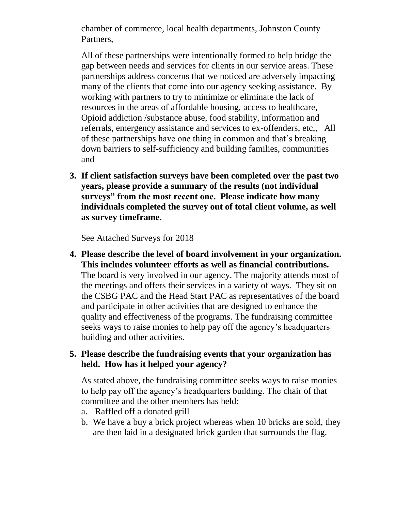chamber of commerce, local health departments, Johnston County Partners,

All of these partnerships were intentionally formed to help bridge the gap between needs and services for clients in our service areas. These partnerships address concerns that we noticed are adversely impacting many of the clients that come into our agency seeking assistance. By working with partners to try to minimize or eliminate the lack of resources in the areas of affordable housing, access to healthcare, Opioid addiction /substance abuse, food stability, information and referrals, emergency assistance and services to ex-offenders, etc,, All of these partnerships have one thing in common and that's breaking down barriers to self-sufficiency and building families, communities and

**3. If client satisfaction surveys have been completed over the past two years, please provide a summary of the results (not individual surveys" from the most recent one. Please indicate how many individuals completed the survey out of total client volume, as well as survey timeframe.**

See Attached Surveys for 2018

**4. Please describe the level of board involvement in your organization. This includes volunteer efforts as well as financial contributions.** The board is very involved in our agency. The majority attends most of the meetings and offers their services in a variety of ways. They sit on the CSBG PAC and the Head Start PAC as representatives of the board and participate in other activities that are designed to enhance the quality and effectiveness of the programs. The fundraising committee seeks ways to raise monies to help pay off the agency's headquarters building and other activities.

## **5. Please describe the fundraising events that your organization has held. How has it helped your agency?**

As stated above, the fundraising committee seeks ways to raise monies to help pay off the agency's headquarters building. The chair of that committee and the other members has held:

- a. Raffled off a donated grill
- b. We have a buy a brick project whereas when 10 bricks are sold, they are then laid in a designated brick garden that surrounds the flag.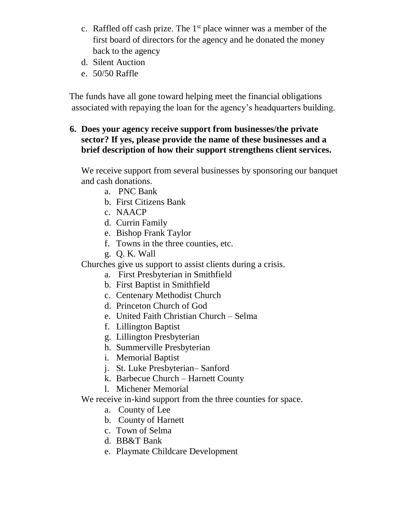- c. Raffled off cash prize. The  $1<sup>st</sup>$  place winner was a member of the first board of directors for the agency and he donated the money back to the agency
- d. Silent Auction
- e. 50/50 Raffle

 The funds have all gone toward helping meet the financial obligations associated with repaying the loan for the agency's headquarters building.

### **6. Does your agency receive support from businesses/the private sector? If yes, please provide the name of these businesses and a brief description of how their support strengthens client services.**

We receive support from several businesses by sponsoring our banquet and cash donations.

- a. PNC Bank
- b. First Citizens Bank
- c. NAACP
- d. Currin Family
- e. Bishop Frank Taylor
- f. Towns in the three counties, etc.
- g. Q. K. Wall

Churches give us support to assist clients during a crisis.

- a. First Presbyterian in Smithfield
- b. First Baptist in Smithfield
- c. Centenary Methodist Church
- d. Princeton Church of God
- e. United Faith Christian Church Selma
- f. Lillington Baptist
- g. Lillington Presbyterian
- h. Summerville Presbyterian
- i. Memorial Baptist
- j. St. Luke Presbyterian– Sanford
- k. Barbecue Church Harnett County
- l. Michener Memorial

We receive in-kind support from the three counties for space.

- a. County of Lee
- b. County of Harnett
- c. Town of Selma
- d. BB&T Bank
- e. Playmate Childcare Development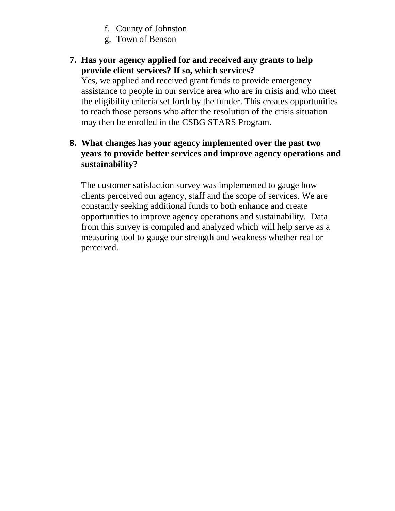- f. County of Johnston
- g. Town of Benson

# **7. Has your agency applied for and received any grants to help provide client services? If so, which services?**

Yes, we applied and received grant funds to provide emergency assistance to people in our service area who are in crisis and who meet the eligibility criteria set forth by the funder. This creates opportunities to reach those persons who after the resolution of the crisis situation may then be enrolled in the CSBG STARS Program.

### **8. What changes has your agency implemented over the past two years to provide better services and improve agency operations and sustainability?**

The customer satisfaction survey was implemented to gauge how clients perceived our agency, staff and the scope of services. We are constantly seeking additional funds to both enhance and create opportunities to improve agency operations and sustainability. Data from this survey is compiled and analyzed which will help serve as a measuring tool to gauge our strength and weakness whether real or perceived.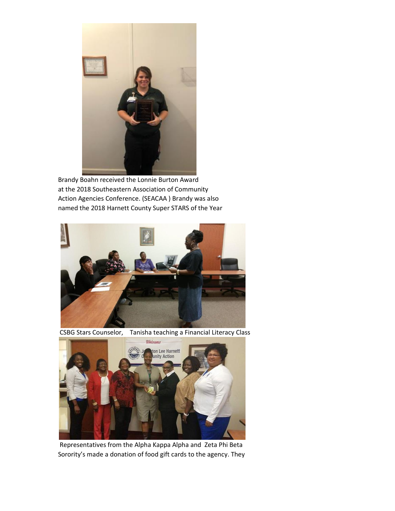

Brandy Boahn received the Lonnie Burton Award at the 2018 Southeastern Association of Community Action Agencies Conference. (SEACAA ) Brandy was also named the 2018 Harnett County Super STARS of the Year



CSBG Stars Counselor, Tanisha teaching a Financial Literacy Class



Representatives from the Alpha Kappa Alpha and Zeta Phi Beta Sorority's made a donation of food gift cards to the agency. They